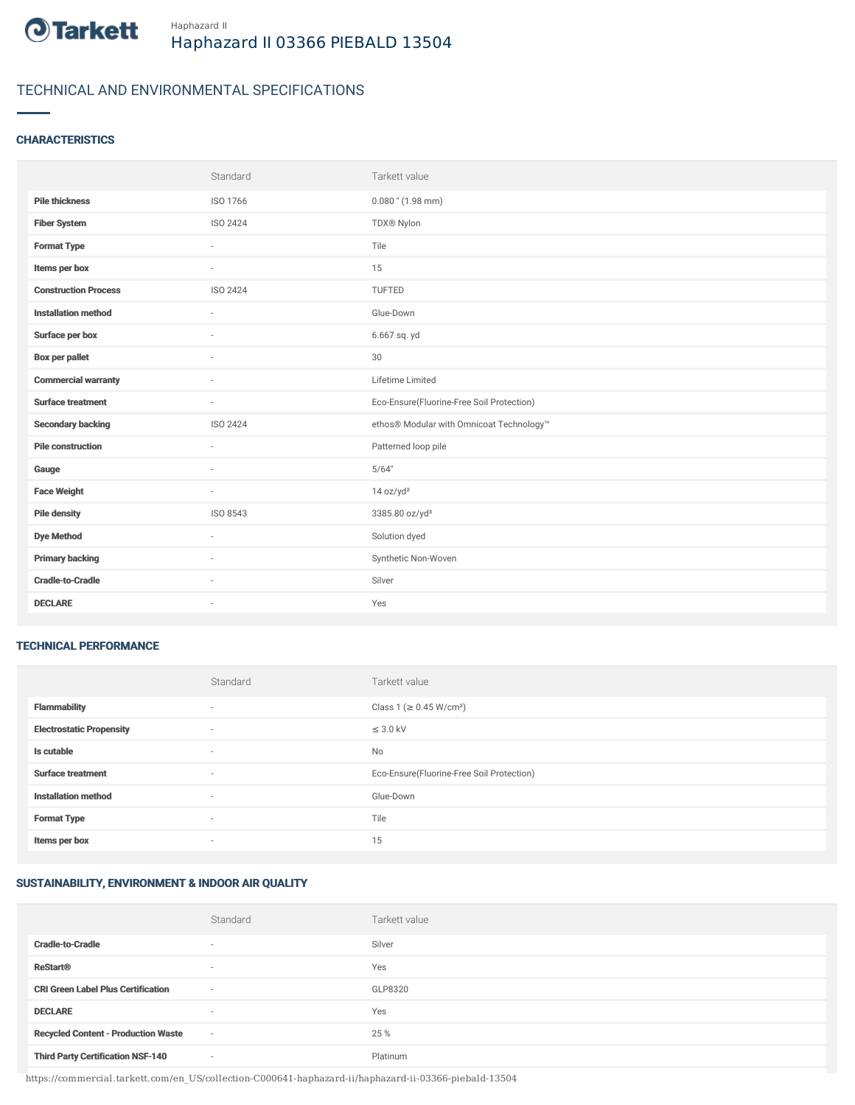

# TECHNICAL AND ENVIRONMENTAL SPECIFICATIONS

### **CHARACTERISTICS**

|                             | Standard        | Tarkett value                             |
|-----------------------------|-----------------|-------------------------------------------|
| <b>Pile thickness</b>       | ISO 1766        | $0.080$ " (1.98 mm)                       |
| <b>Fiber System</b>         | ISO 2424        | TDX® Nylon                                |
| <b>Format Type</b>          | ٠               | Tile                                      |
| Items per box               |                 | 15                                        |
| <b>Construction Process</b> | <b>ISO 2424</b> | <b>TUFTED</b>                             |
| <b>Installation method</b>  | $\sim$          | Glue-Down                                 |
| Surface per box             | ÷               | 6.667 sq. yd                              |
| <b>Box per pallet</b>       | ×.              | 30                                        |
| <b>Commercial warranty</b>  | $\sim$          | Lifetime Limited                          |
|                             |                 |                                           |
| <b>Surface treatment</b>    | $\sim$          | Eco-Ensure(Fluorine-Free Soil Protection) |
| <b>Secondary backing</b>    | ISO 2424        | ethos® Modular with Omnicoat Technology™  |
| <b>Pile construction</b>    | ÷               | Patterned loop pile                       |
| Gauge                       | $\sim$          | 5/64"                                     |
| <b>Face Weight</b>          | $\sim$          | 14 oz/yd <sup>2</sup>                     |
| <b>Pile density</b>         | ISO 8543        | 3385.80 oz/yd <sup>3</sup>                |
| <b>Dye Method</b>           | $\sim$          | Solution dyed                             |
| <b>Primary backing</b>      | ٠               | Synthetic Non-Woven                       |
| <b>Cradle-to-Cradle</b>     |                 | Silver                                    |

#### TECHNICAL PERFORMANCE

|                                 | Standard                 | Tarkett value                             |
|---------------------------------|--------------------------|-------------------------------------------|
| Flammability                    | $\overline{\phantom{a}}$ | Class 1 (≥ 0.45 W/cm <sup>2</sup> )       |
| <b>Electrostatic Propensity</b> | $\overline{\phantom{a}}$ | $\leq$ 3.0 kV                             |
| Is cutable                      | $\overline{\phantom{a}}$ | No                                        |
| <b>Surface treatment</b>        | $\sim$                   | Eco-Ensure(Fluorine-Free Soil Protection) |
| <b>Installation method</b>      | $\overline{\phantom{a}}$ | Glue-Down                                 |
| <b>Format Type</b>              | $\overline{\phantom{a}}$ | Tile                                      |
| Items per box                   | $\sim$                   | 15                                        |

## SUSTAINABILITY, ENVIRONMENT & INDOOR AIR QUALITY

|                                            | Standard                 | Tarkett value |
|--------------------------------------------|--------------------------|---------------|
| <b>Cradle-to-Cradle</b>                    | $\overline{\phantom{a}}$ | Silver        |
| <b>ReStart®</b>                            | $\overline{\phantom{a}}$ | Yes           |
| <b>CRI Green Label Plus Certification</b>  | $\overline{\phantom{a}}$ | GLP8320       |
| <b>DECLARE</b>                             | $\overline{\phantom{a}}$ | Yes           |
| <b>Recycled Content - Production Waste</b> | $\sim$                   | 25 %          |
| <b>Third Party Certification NSF-140</b>   | $\sim$                   | Platinum      |

https://commercial.tarkett.com/en\_US/collection-C000641-haphazard-ii/haphazard-ii-03366-piebald-13504